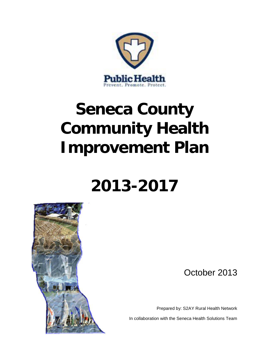

# **Seneca County Community Health Improvement Plan**

## **2013-2017**



October 2013

Prepared by: S2AY Rural Health Network

In collaboration with the Seneca Health Solutions Team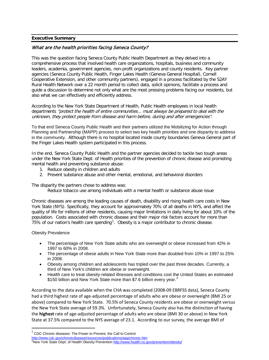#### **Executive Summary**

#### What are the health priorities facing Seneca County?

 This was the question facing Seneca County Public Health Department as they delved into a comprehensive process that involved health care organizations, hospitals, business and community leaders, academia, government agencies, non-profit organizations and county residents. Key partner agencies (Seneca County Public Health, Finger Lakes Health (Geneva General Hospital), Cornell Cooperative Extension, and other community partners), engaged in a process facilitated by the S2AY Rural Health Network over a 22 month period to collect data, solicit opinions, facilitate a process and guide a discussion to determine not only what are the most pressing problems facing our residents, but also what we can effectively and efficiently address.

 According to the New York State Department of Health, Public Health employees in local health departments "protect the health of entire communities... must always be prepared to deal with the unknown, they protect people from disease and harm before, during and after emergencies".

 in the community. Although there is no hospital located inside county boundaries Geneva General part of the Finger Lakes Health system participated in this process. To that end Seneca County Public Health and their partners utilized the Mobilizing for Action through Planning and Partnership (MAPP) process to select two key health priorities and one disparity to address

 In the end, Seneca County Public Health and the partner agencies decided to tackle two tough areas under the New York State Dept. of Health priorities of the prevention of chronic disease and promoting mental health and preventing substance abuse:

- 1. Reduce obesity in children and adults
- 2. Prevent substance abuse and other mental, emotional, and behavioral disorders

The disparity the partners chose to address was:

Reduce tobacco use among individuals with a mental health or substance abuse issue

 Chronic diseases are among the leading causes of death, disability and rising health care costs in New York State (NYS). Specifically, they account for approximately 70% of all deaths in NYS, and affect the quality of life for millions of other residents, causing major limitations in daily living for about 10% of the population. Costs associated with chronic disease and their major risk factors account for more than 75% of our nation's health care spending<sup>[1](#page-1-0)</sup>. Obesity is a major contributor to chronic disease.

#### Obesity Prevalence

 $\overline{a}$ 

- 1997 to 60% in 2008. • The percentage of New York State adults who are overweight or obese increased from 42% in
- The percentage of obese adults in New York State more than doubled from 10% in 1997 to 25% in 2008.
- Obesity among children and adolescents has tripled over the past three decades. Currently, a third of New York's children are obese or overweight.
- \$150 billion and New York State more than \$7.6 billion every year.<sup>[2](#page-1-1)</sup> Health care to treat obesity-related illnesses and conditions cost the United States an estimated

 According to the data available when the CHA was completed (2008-09 EBRFSS data), Seneca County had a third highest rate of age-adjusted percentage of adults who are obese or overweight (BMI 25 or above) compared to New York State. 70.5% of Seneca County residents are obese or overweight versus the New York State average of 59.3%. Unfortunately, Seneca County also has the distinction of having the **highest** rate of age-adjusted percentage of adults who are obese (BMI 30 or above) in New York State at 37.5% compared to the NYS average of 23.1. According to our survey, the average BMI of

<span id="page-1-0"></span> $1$  CDC Chronic diseases: The Power to Prevent, the Call to Control

<span id="page-1-1"></span><sup>&</sup>lt;u><http://www.cdc.gov/chronicdisease/resources/publications/aag/chronic.htm></u><br><sup>2</sup>New York State Dept. of Health Obesity Prevention <u>http://www.health.ny.gov/prevention/obesity/</u>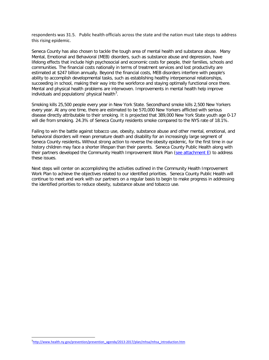respondents was 31.5. Public health officials across the state and the nation must take steps to address this rising epidemic.

 Seneca County has also chosen to tackle the tough area of mental health and substance abuse. Many Mental, Emotional and Behavioral (MEB) disorders, such as substance abuse and depression, have lifelong effects that include high psychosocial and economic costs for people, their families, schools and communities. The financial costs nationally in terms of treatment services and lost productivity are estimated at \$247 billion annually. Beyond the financial costs, MEB disorders interfere with people's ability to accomplish developmental tasks, such as establishing healthy interpersonal relationships, succeeding in school, making their way into the workforce and staying optimally functional once there. Mental and physical health problems are interwoven. Improvements in mental health help improve individuals and populations' physical health<sup>[3](#page-2-0)</sup>.

 Smoking kills 25,500 people every year in New York State. Secondhand smoke kills 2,500 New Yorkers every year. At any one time, there are estimated to be 570,000 New Yorkers afflicted with serious disease directly attributable to their smoking. It is projected that 389,000 New York State youth age 0-17 will die from smoking. 24.3% of Seneca County residents smoke compared to the NYS rate of 18.1%.

 Failing to win the battle against tobacco use, obesity, substance abuse and other mental, emotional, and behavioral disorders will mean premature death and disability for an increasingly large segment of Seneca County residents**.** Without strong action to reverse the obesity epidemic, for the first time in our history children may face a shorter lifespan than their parents. Seneca County Public Health along with their partners developed the Community Health Improvement Work Plan (see attachment E) to address these issues.

 Next steps will center on accomplishing the activities outlined in the Community Health Improvement Work Plan to achieve the objectives related to our identified priorities. Seneca County Public Health will continue to meet and work with our partners on a regular basis to begin to make progress in addressing the identified priorities to reduce obesity, substance abuse and tobacco use.

<span id="page-2-0"></span> $\overline{a}$ <sup>3</sup>http://www.health.ny.gov/prevention/prevention\_agenda/2013-2017/plan/mhsa/mhsa\_introduction.htm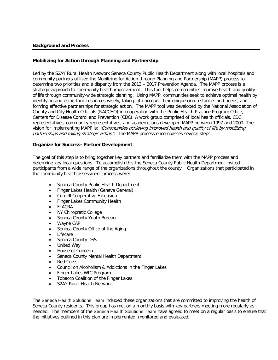#### **Background and Process**

#### **Mobilizing for Action through Planning and Partnership**

 Led by the S2AY Rural Health Network Seneca County Public Health Department along with local hospitals and community partners utilized the Mobilizing for Action through Planning and Partnership (MAPP) process to determine two priorities and a disparity from the 2013 – 2017 Prevention Agenda. The MAPP process is a strategic approach to community health improvement. This tool helps communities improve health and quality of life through community-wide strategic planning. Using MAPP, communities seek to achieve optimal health by identifying and using their resources wisely, taking into account their unique circumstances and needs, and forming effective partnerships for strategic action. The MAPP tool was developed by the National Association of County and City Health Officials (NACCHO) in cooperation with the Public Health Practice Program Office, Centers for Disease Control and Prevention (CDC). A work group comprised of local health officials, CDC representatives, community representatives, and academicians developed MAPP between 1997 and 2000. The vision for implementing MAPP is: "Communities achieving improved health and quality of life by mobilizing partnerships and taking strategic action". The MAPP process encompasses several steps.

#### **Organize for Success- Partner Development**

 The goal of this step is to bring together key partners and familiarize them with the MAPP process and determine key local questions. To accomplish this the Seneca County Public Health Department invited participants from a wide range of the organizations throughout the county. Organizations that participated in the community health assessment process were:

- Seneca County Public Health Department
- Finger Lakes Health (Geneva General)
- Cornell Cooperative Extension
- Finger Lakes Community Health
- FLACRA
- NY Chiropratic College
- Seneca County Youth Bureau
- Wayne CAP
- Seneca County Office of the Aging
- **Lifecare**
- Seneca County DSS
- United Way
- House of Concern
- Seneca County Mental Health Department
- Red Cross
- Council on Alcoholism & Addictions in the Finger Lakes
- Finger Lakes WIC Program
- Tobacco Coalition of the Finger Lakes
- S2AY Rural Health Network

 The Seneca Health Solutions Team included these organizations that are committed to improving the health of Seneca County residents. This group has met on a monthly basis with key partners meeting more regularly as needed. The members of the Seneca Health Solutions Team have agreed to meet on a regular basis to ensure that the initiatives outlined in this plan are implemented, monitored and evaluated.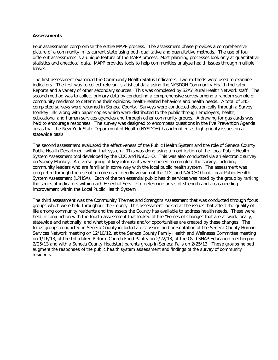#### **Assessments**

 Four assessments compromise the entire MAPP process. The assessment phase provides a comprehensive picture of a community in its current state using both qualitative and quantitative methods. The use of four different assessments is a unique feature of the MAPP process. Most planning processes look only at quantitative statistics and anecdotal data. MAPP provides tools to help communities analyze health issues through multiple lenses.

 The first assessment examined the Community Health Status Indicators. Two methods were used to examine indicators. The first was to collect relevant statistical data using the NYSDOH Community Health Indicator Reports and a variety of other secondary sources. This was completed by S2AY Rural Health Network staff. The second method was to collect primary data by conducting a comprehensive survey among a random sample of community residents to determine their opinions, health-related behaviors and health needs. A total of 345 completed surveys were returned in Seneca County. Surveys were conducted electronically through a Survey Monkey link, along with paper copies which were distributed to the public through employers, health, educational and human services agencies and through other community groups. A drawing for gas cards was held to encourage responses. The survey was designed to encompass questions in the five Prevention Agenda areas that the New York State Department of Health (NYSDOH) has identified as high priority issues on a statewide basis.

 The second assessment evaluated the effectiveness of the Public Health System and the role of Seneca County Public Health Department within that system. This was done using a modification of the Local Public Health System Assessment tool developed by the CDC and NACCHO. This was also conducted via an electronic survey on Survey Monkey. A diverse group of key informants were chosen to complete the survey, including community leaders who are familiar in some way with the local public health system. The assessment was completed through the use of a more user-friendly version of the CDC and NACCHO tool, Local Public Health System Assessment (LPHSA). Each of the ten essential public health services was rated by the group by ranking the series of indicators within each Essential Service to determine areas of strength and areas needing improvement within the Local Public Health System.

 The third assessment was the Community Themes and Strengths Assessment that was conducted through focus groups which were held throughout the County. This assessment looked at the issues that affect the quality of life among community residents and the assets the County has available to address health needs. These were held in conjunction with the fourth assessment that looked at the "Forces of Change" that are at work locally, statewide and nationally, and what types of threats and/or opportunities are created by these changes. The focus groups conducted in Seneca County included a discussion and presentation at the Seneca County Human Services Network meeting on 12/10/12, at the Seneca County Family Health and Wellnesss Committee meeting on 1/16/13, at the Interlaken Reform Church Food Pantry on 2/22/13, at the Ovid SNAP Education meeting on 2/25/13 and with a Seneca County Headstart parents group in Seneca Falls on 2/25/13. These groups helped augment the responses of the public health system assessment and findings of the survey of community residents.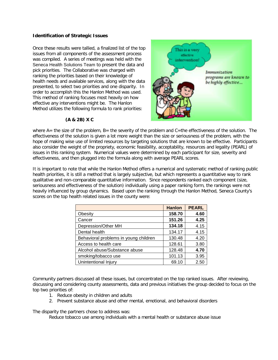#### **Identification of Strategic Issues**

 Once these results were tallied, a finalized list of the top issues from all components of the assessment process was compiled. A series of meetings was held with the Seneca Health Solutions Team to present the data and pick priorities. The Collaborative was charged with ranking the priorities based on their knowledge of health needs and available services, along with the data presented, to select two priorities and one disparity. In order to accomplish this the Hanlon Method was used. This method of ranking focuses most heavily on how effective any interventions might be. The Hanlon Method utilizes the following formula to rank priorities:



#### **(A & 2B) X C**

where A= the size of the problem, B= the severity of the problem and C=the effectiveness of the solution. The effectiveness of the solution is given a lot more weight than the size or seriousness of the problem, with the hope of making wise use of limited resources by targeting solutions that are known to be effective. Participants also consider the weight of the propriety, economic feasibility, acceptability, resources and legality (PEARL) of issues in this ranking system. Numerical values were determined by each participant for size, severity and effectiveness, and then plugged into the formula along with average PEARL scores.

 It is important to note that while the Hanlon Method offers a numerical and systematic method of ranking public health priorities, it is still a method that is largely subjective, but which represents a quantitative way to rank qualitative and non-comparable quantitative information. Since respondents ranked each component (size, seriousness and effectiveness of the solution) individually using a paper ranking form, the rankings were not heavily influenced by group dynamics. Based upon the ranking through the Hanlon Method, Seneca County's scores on the top health related issues in the county were:

|                                       | <b>Hanlon</b> | <b>PEARL</b> |
|---------------------------------------|---------------|--------------|
| Obesity                               | 158.70        | 4.60         |
| Cancer                                | 151.26        | 4.25         |
| Depression/Other MH                   | 134.18        | 4.15         |
| Dental health                         | 134.17        | 4.15         |
| Behavioral problems in young children | 130.48        | 4.20         |
| Access to health care                 | 128.61        | 3.80         |
| Alcohol abuse/Substance abuse         | 128.48        | 4.70         |
| smoking/tobacco use                   | 101.13        | 3.95         |
| Unintentional Injury                  | 69.10         | 2.50         |

 Community partners discussed all these issues, but concentrated on the top ranked issues. After reviewing, discussing and considering county assessments, data and previous initiatives the group decided to focus on the top two priorities of:

- 1. Reduce obesity in children and adults
- 2. Prevent substance abuse and other mental, emotional, and behavioral disorders

The disparity the partners chose to address was:

Reduce tobacco use among individuals with a mental health or substance abuse issue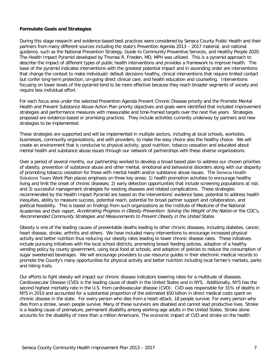#### **Formulate Goals and Strategies**

 During this stage research and evidence-based best practices were considered by Seneca County Public Health and their partners from many different sources including the state's Prevention Agenda 2013 – 2017 material, and national guidance, such as the National Prevention Strategy, Guide to Community Preventive Services, and Healthy People 2020. The Health Impact Pyramid developed by Thomas R. Frieden, MD, MPH was utilized. This is a pyramid approach to describe the impact of different types of public health interventions and provides a framework to improve health. The base of the pyramid indicates interventions with the greatest potential impact and in ascending order are interventions that change the context to make individuals' default decisions healthy, clinical interventions that require limited contact but confer long-term protection, on-going direct clinical care, and health education and counseling. Interventions focusing on lower levels of the pyramid tend to be more effective because they reach broader segments of society and require less individual effort.

 For each focus area under the selected Prevention Agenda Prevent Chronic Disease priority and the Promote Mental Health and Prevent Substance Abuse Action Plan priority objectives and goals were identified that included improvement strategies and performance measures with measurable and time-framed targets over the next five years. Strategies proposed are evidence-based or promising practices. They include activities currently underway by partners and new strategies to be implemented.

 These strategies are supported and will be implemented in multiple sectors, including at local schools, worksites, businesses, community organizations, and with providers, to make the easy choice also the healthy choice. We will create an environment that is conducive to physical activity, good nutrition, tobacco cessation and educated about mental health and substance abuse issues through our network of partnerships with these diverse organizations.

 Over a period of several months, our partnership worked to develop a broad based plan to address our chosen priorities of obesity, prevention of substance abuse and other mental, emotional and behavioral disorders along with our disparity of promoting tobacco cessation for those with mental health and/or substance abuse issues. The Seneca Health Solutions Team Work Plan places emphasis on three key areas: 1) health promotion activities to encourage healthy living and limit the onset of chronic diseases; 2) early detection opportunities that include screening populations at risk; and 3) successful management strategies for existing diseases and related complications. These strategies recommended by the Health Impact Pyramid are based on the interventions' evidence base, potential to address health inequities, ability to measure success, potential reach, potential for broad partner support and collaboration, and political feasibility. This is based on findings from such organizations as the Institute of Medicine of the National Academies and their report, *Accelerating Progress in Obesity Prevention: Solving the Weight of the Nation* or the CDC's, Recommended Community Strategies and Measurements to Prevent Obesity in the United States.

 Obesity is one of the leading causes of preventable deaths leading to other chronic diseases, including diabetes, cancer, heart disease, stroke, arthritis and others. We have included many interventions to encourage increased physical activity and better nutrition thus reducing our obesity rates leading to lower chronic disease rates. These initiatives include pursuing initiatives with the local school districts, promoting breast feeding policies, adoption of a healthy vending policy by county government, using local food at schools, and adoption of policies to reduce the consumption of sugar sweetened beverages. We will encourage providers to use resource guides in their electronic medical records to promote the County's many opportunities for physical activity and better nutrition including local farmer's markets, parks and hiking trails.

 Our efforts to fight obesity will impact our chronic disease indicators lowering rates for a multitude of diseases. Cardiovascular Disease (CVD) is the leading cause of death in the United States and in NYS. Additionally, NYS has the second highest mortality rate in the U.S. from cardiovascular disease (CVD). CVD was responsible for 31% of deaths in NYS in 2010 and accounted for a substantial proportion of the estimated \$50 billion in direct medical costs spent on chronic disease in the state. For every person who dies from a heart attack, 18 people survive. For every person who dies from a stroke, seven people survive. Many of these survivors are disabled and cannot lead productive lives. Stroke is a leading cause of premature, permanent disability among working-age adults in the United States. Stroke alone accounts for the disability of more than a million Americans. The economic impact of CVD and stroke on the health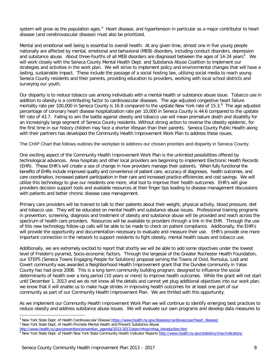system will grow as the population ages.<sup>4</sup> Heart disease, and hypertension in particular as a major contributor to heart disease (and cerebrovascular disease) must also be prioritized.

 Mental and emotional well being is essential to overall health. At any given time, almost one in five young people nationally are affected by mental, emotional and behavioral (MEB) disorders, including conduct disorders, depression and substance abuse. About three-fourths of all MEB disorders are diagnosed between the ages of 14-24 years<sup>[5](#page-7-1)</sup>. We will work closely with the Seneca County Mental Health Dept. and Substance Abuse Coalition to implement our strategies and activities in the work plan. We will strive to implement policy and environmental changes that will have a lasting, sustainable impact. These include the passage of a social hosting law, utilizing social media to reach young Seneca County residents and their parents, providing education to providers, working with local school districts and surveying our youth.

 Our disparity is to reduce tobacco use among individuals with a mental health or substance abuse issue. Tobacco use in addition to obesity is a contributing factor to cardiovascular diseases. The age adjusted congestive heart failure mortality rate per 100,000 in Seneca County is 16.8 compared to the upstate New York rate of 15.3. [6](#page-7-2) The age adjusted percentage of coronary heart disease hospitalization rate per 10,000 in Seneca County is 44.6 compared to the upstate NY rate of 43.7. Failing to win the battle against obesity and tobacco use will mean premature death and disability for an increasingly large segment of Seneca County residents. Without strong action to reverse the obesity epidemic, for the first time in our history children may face a shorter lifespan than their parents. Seneca County Public Health along with their partners has developed the Community Health Improvement Work Plan to address these issues.

The CHIP Chart that follows outlines the workplan to address our chosen priorities and disparity in Seneca County.

 One exciting aspect of the Community Health Improvement Work Plan is the unlimited possibilities offered by technological advances. Area hospitals and other local providers are beginning to implement Electronic Health Records (EHR). These EHR's will create a sea of change in how providers manage their patients. When fully functional the benefits of EHRs include improved [quality and convenience](http://www.healthit.gov/providers-professionals/health-care-quality-convenience) of patient care, accuracy of [diagnoses, health outcomes,](http://www.healthit.gov/providers-professionals/improved-diagnostics-patient-outcomes) and [care coordination,](http://www.healthit.gov/providers-professionals/improved-care-coordination) increased [patient participation](http://www.healthit.gov/providers-professionals/patient-participation) in their care and increased [practice efficiencies and cost savings.](http://www.healthit.gov/providers-professionals/medical-practice-efficiencies-cost-savings) We will utilize this technology to give our residents one more, vital tool to improve their health outcomes. EHR's will give providers decision support tools and available resources at their finger tips leading to disease management discussions with patients and better chronic disease case management.

 Primary care providers will be trained to talk to their patients about their weight, physical activity, blood pressure, diet and tobacco use. They will be educated on mental health and substance abuse issues. Professional training programs in prevention, screening, diagnosis and treatment of obesity and substance abuse will be provided and reach across the spectrum of health care providers. Resources will be available to providers through a link in the EHR. Through the use of this new technology follow-up calls will be able to be made to check on patient compliance. Additionally, the EHR's will provide the opportunity and documentation necessary to evaluate and measure their use. EHR's provide one more important connection in the network to support residents to fight obesity, mental health issues and tobacco use.

 Additionally, we are extremely excited to report that shortly we will be able to add some objectives under the lowest level of Freiden's pyramid, Socio-economic factors. Through the largesse of the Greater Rochester Health Foundation, our STEPS (Seneca Towns Engaging People for Solutions) proposal serving the Towns of Ovid, Romulus, Lodi and Covert community was awarded a Neighborhood Health Improvement grant that the Dundee community in Yates County has had since 2008. This is a long term community building program, designed to influence the social determinants of health over a long period (10 years or more) to improve health outcomes. While the grant will not start until December 1, 2013 and we do not know all the details and cannot yet plug additional objectives into our work plan, we know that it will enable us to make huge strides in improving health outcomes for at least one part of our community as part of our Community Health Improvement Plan. We are thrilled with this opportunity.

 As we implement our Community Health Improvement Work Plan we will continue to identify emerging best practices to reduce obesity and address substance abuse issues. We will evaluate our own programs and develop data measures to

 $\overline{a}$ <sup>4</sup> New York State Dept. of Health Cardiovascular Disease <u>https://www.health.ny.gov/diseases/cardiovascular/heart\_disease/</u><br><sup>5</sup> New York State Dept. of Health Promote Mental Health and Prevent Substance Abuse

<span id="page-7-1"></span><span id="page-7-0"></span><sup>&</sup>lt;sup>5</sup> New York State Dept. of Health Promote Mental Health and Prevent Substance Abuse

<span id="page-7-2"></span>[http://www.health.ny.gov/prevention/prevention\\_agenda/2013-2017/plan/mhsa/mhsa\\_introduction.htm](http://www.health.ny.gov/prevention/prevention_agenda/2013-2017/plan/mhsa/mhsa_introduction.htm)

<sup>&</sup>lt;sup>6</sup> New York State Dept. of Health New York State Community Health Indicator Reports<http://www.health.ny.gov/statistics/chac/indicators/>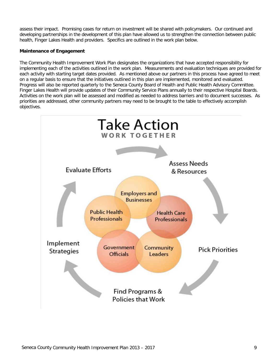assess their impact. Promising cases for return on investment will be shared with policymakers. Our continued and developing partnerships in the development of this plan have allowed us to strengthen the connection between public health, Finger Lakes Health and providers. Specifics are outlined in the work plan below.

#### **Maintenance of Engagement**

 The Community Health Improvement Work Plan designates the organizations that have accepted responsibility for implementing each of the activities outlined in the work plan. Measurements and evaluation techniques are provided for each activity with starting target dates provided. As mentioned above our partners in this process have agreed to meet on a regular basis to ensure that the initiatives outlined in this plan are implemented, monitored and evaluated. Progress will also be reported quarterly to the Seneca County Board of Health and Public Health Advisory Committee. Finger Lakes Health will provide updates of their Community Service Plans annually to their respective Hospital Boards. Activities on the work plan will be assessed and modified as needed to address barriers and to document successes. As priorities are addressed, other community partners may need to be brought to the table to effectively accomplish objectives.

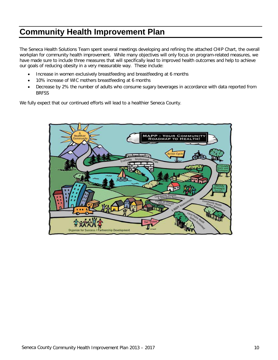### **Community Health Improvement Plan**

 The Seneca Health Solutions Team spent several meetings developing and refining the attached CHIP Chart, the overall workplan for community health improvement. While many objectives will only focus on program-related measures, we have made sure to include three measures that will specifically lead to improved health outcomes and help to achieve our goals of reducing obesity in a very measurable way. These include:

- Increase in women exclusively breastfeeding and breastfeeding at 6 months
- 10% increase of WIC mothers breastfeeding at 6 months
- Decrease by 2% the number of adults who consume sugary beverages in accordance with data reported from BRFSS

We fully expect that our continued efforts will lead to a healthier Seneca County.

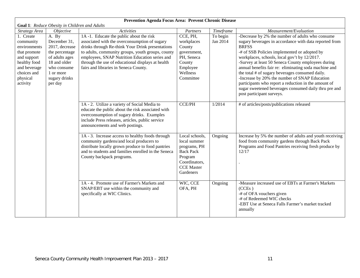| Goal 1: Reduce Obesity in Children and Adults                                                                                                |                                                                                                                                                     |                                                                                                                                                                                                                                                                                                                                                   |                                                                                                                                  |                      |                                                                                                                                                                                                                                                                                                                                                                                                                                                                                                                                                                                             |  |
|----------------------------------------------------------------------------------------------------------------------------------------------|-----------------------------------------------------------------------------------------------------------------------------------------------------|---------------------------------------------------------------------------------------------------------------------------------------------------------------------------------------------------------------------------------------------------------------------------------------------------------------------------------------------------|----------------------------------------------------------------------------------------------------------------------------------|----------------------|---------------------------------------------------------------------------------------------------------------------------------------------------------------------------------------------------------------------------------------------------------------------------------------------------------------------------------------------------------------------------------------------------------------------------------------------------------------------------------------------------------------------------------------------------------------------------------------------|--|
| Strategy Area                                                                                                                                | Objective                                                                                                                                           | Activities                                                                                                                                                                                                                                                                                                                                        | Partners                                                                                                                         | Timeframe            | Measurement/Evaluation                                                                                                                                                                                                                                                                                                                                                                                                                                                                                                                                                                      |  |
| 1. Create<br>community<br>environments<br>that promote<br>and support<br>healthy food<br>and beverage<br>choices and<br>physical<br>activity | A. By<br>December 31,<br>2017, decrease<br>the percentage<br>of adults ages<br>18 and older<br>who consume<br>1 or more<br>sugary drinks<br>per day | 1A-1. Educate the public about the risk<br>associated with the overconsumption of sugary<br>drinks through Re-think Your Drink presentations<br>to adults, community groups, youth groups, county<br>employees, SNAP Nutrition Education series and<br>through the use of educational displays at health<br>fairs and libraries in Seneca County. | CCE, PH,<br>workplaces<br>County<br>government,<br>PH, Seneca<br>County<br>Employee<br>Wellness<br>Committee                     | To begin<br>Jan 2014 | -Decrease by 2% the number of adults who consume<br>sugary beverages in accordance with data reported from<br><b>BRFSS</b><br>-# of SSB Policies implemented or adopted by<br>workplaces, schools, local gov't by 12/2017.<br>-Survey at least 50 Seneca County employees during<br>annual benefits fair re: eliminating soda machine and<br>the total # of sugary beverages consumed daily.<br>-Increase by 20% the number of SNAP Education<br>participants who report a reduction in the amount of<br>sugar sweetened beverages consumed daily thru pre and<br>post participant surveys. |  |
|                                                                                                                                              |                                                                                                                                                     | 1A - 2. Utilize a variety of Social Media to<br>educate the public about the risk associated with<br>overconsumption of sugary drinks. Examples<br>include Press releases, articles, public service<br>announcements and web postings.                                                                                                            | <b>CCE/PH</b>                                                                                                                    | 1/2014               | # of articles/posts/publications released                                                                                                                                                                                                                                                                                                                                                                                                                                                                                                                                                   |  |
|                                                                                                                                              |                                                                                                                                                     | 1A - 3. Increase access to healthy foods through<br>community gardens/and local producers to<br>distribute locally grown produce to food pantries<br>and to students and families enrolled in the Seneca<br>County backpack programs.                                                                                                             | Local schools,<br>local summer<br>programs, PH<br><b>Back Pack</b><br>Program<br>Coordinators,<br><b>CCE</b> Master<br>Gardeners | Ongoing              | Increase by 5% the number of adults and youth receiving<br>food from community gardens through Back Pack<br>Programs and Food Pantries receiving fresh produce by<br>12/17                                                                                                                                                                                                                                                                                                                                                                                                                  |  |
|                                                                                                                                              |                                                                                                                                                     | 1A - 4. Promote use of Farmer's Markets and<br>SNAP/EBT use within the community and<br>specifically at WIC Clinics.                                                                                                                                                                                                                              | WIC, CCE<br>OFA, PH                                                                                                              | Ongoing              | -Measure increased use of EBTs at Farmer's Markets<br>(CCEs)<br>-# of OFA vouchers given<br>-# of Redeemed WIC checks<br>-EBT Use at Seneca Falls Farmer's market tracked<br>annually                                                                                                                                                                                                                                                                                                                                                                                                       |  |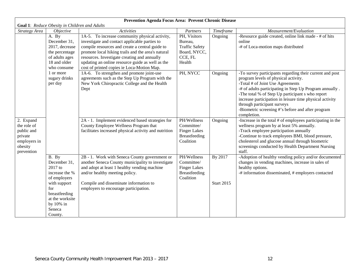| Goal 1: Reduce Obesity in Children and Adults                                              |                                                                                                                                                                 |                                                                                                                                                                                                                                                                                                                                                            |                                                                                       |                              |                                                                                                                                                                                                                                                                                                                                                                                                                    |  |  |
|--------------------------------------------------------------------------------------------|-----------------------------------------------------------------------------------------------------------------------------------------------------------------|------------------------------------------------------------------------------------------------------------------------------------------------------------------------------------------------------------------------------------------------------------------------------------------------------------------------------------------------------------|---------------------------------------------------------------------------------------|------------------------------|--------------------------------------------------------------------------------------------------------------------------------------------------------------------------------------------------------------------------------------------------------------------------------------------------------------------------------------------------------------------------------------------------------------------|--|--|
| Strategy Area                                                                              | <i>Objective</i>                                                                                                                                                | <b>Activities</b>                                                                                                                                                                                                                                                                                                                                          | Partners                                                                              | Timeframe                    | Measurement/Evaluation                                                                                                                                                                                                                                                                                                                                                                                             |  |  |
|                                                                                            | A. By<br>December 31,<br>2017, decrease<br>the percentage<br>of adults ages<br>18 and older<br>who consume                                                      | 1A-5. To increase community physical activity,<br>investigate and contact applicable parties to<br>compile resources and create a central guide to<br>promote local hiking trails and the area's natural<br>resources. Investigate creating and annually<br>updating an online resource guide as well as the<br>cost of printed copies ie Loca-Motion Map. | PH, Visitors<br>Bureau,<br><b>Traffic Safety</b><br>Board, NYCC,<br>CCE, FL<br>Health | Ongoing                      | -Resource guide created, online link made - # of hits<br>online<br>-# of Loca-motion maps distributed                                                                                                                                                                                                                                                                                                              |  |  |
|                                                                                            | 1 or more<br>sugary drinks<br>per day                                                                                                                           | 1A-6. To strengthen and promote joint-use<br>agreements such as the Step Up Program with the<br>New York Chiropractic College and the Health<br>Dept                                                                                                                                                                                                       | PH, NYCC                                                                              | Ongoing                      | -To survey participants regarding their current and post<br>program levels of physical activity.<br>-Total # of Joint Use Agreements<br>-# of adults participating in Step Up Program annually.<br>-The total % of Step Up participant s who report<br>increase participation in leisure time physical activity<br>through participant surveys<br>-Biometric screening #'s before and after program<br>completion. |  |  |
| 2. Expand<br>the role of<br>public and<br>private<br>employers in<br>obesity<br>prevention |                                                                                                                                                                 | 2A - 1. Implement evidenced based strategies for<br>County Employee Wellness Program that<br>facilitates increased physical activity and nutrition                                                                                                                                                                                                         | PH/Wellness<br>Committee/<br><b>Finger Lakes</b><br>Breastfeeding<br>Coalition        | Ongoing                      | -Increase in the total # of employees participating in the<br>wellness program by at least 5% annually.<br>-Track employee participation annually<br>-Continue to track employees BMI, blood pressure,<br>cholesterol and glucose annual through biometric<br>screenings conducted by Health Department Nursing<br>staff.                                                                                          |  |  |
|                                                                                            | B. By<br>December 31,<br>2017 to<br>increase the %<br>of employers<br>with support<br>for<br>breastfeeding<br>at the worksite<br>by 10% in<br>Seneca<br>County. | 2B - 1. Work with Seneca County government or<br>another Seneca County municipality to investigate<br>and adopt at least 1 healthy vending machine<br>and/or healthy meeting policy.<br>Compile and disseminate information to<br>employers to encourage participation.                                                                                    | PH/Wellness<br>Committee/<br><b>Finger Lakes</b><br>Breastfeeding<br>Coalition        | By 2017<br><b>Start 2015</b> | -Adoption of healthy vending policy and/or documented<br>changes in vending machines, increase in sales of<br>healthy options.<br>-# information disseminated, # employers contacted                                                                                                                                                                                                                               |  |  |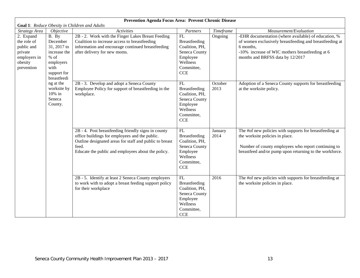|                                                                                            | <b>Goal 1:</b> Reduce Obesity in Children and Adults                                                          |                                                                                                                                                                                                                                    |                                                                                                             |                 |                                                                                                                                                                                                                     |  |  |  |
|--------------------------------------------------------------------------------------------|---------------------------------------------------------------------------------------------------------------|------------------------------------------------------------------------------------------------------------------------------------------------------------------------------------------------------------------------------------|-------------------------------------------------------------------------------------------------------------|-----------------|---------------------------------------------------------------------------------------------------------------------------------------------------------------------------------------------------------------------|--|--|--|
| <b>Strategy Area</b>                                                                       | Objective                                                                                                     | <b>Activities</b>                                                                                                                                                                                                                  | Partners                                                                                                    | Timeframe       | Measurement/Evaluation                                                                                                                                                                                              |  |  |  |
| 2. Expand<br>the role of<br>public and<br>private<br>employers in<br>obesity<br>prevention | B. By<br>December<br>31, 2017 to<br>increase the<br>$%$ of<br>employers<br>with<br>support for<br>breastfeedi | 2B - 2. Work with the Finger Lakes Breast Feeding<br>Coalition to increase access to breastfeeding<br>information and encourage continued breastfeeding<br>after delivery for new moms.                                            | FL<br>Breastfeeding<br>Coalition, PH,<br>Seneca County<br>Employee<br>Wellness<br>Committee,<br>CCE         | Ongoing         | -EHR documentation (where available) of education, %<br>of women exclusively breastfeeding and breastfeeding at<br>6 months,<br>-10% increase of WIC mothers breastfeeding at 6<br>months and BRFSS data by 12/2017 |  |  |  |
|                                                                                            | ng at the<br>worksite by<br>10% in<br>Seneca<br>County.                                                       | 2B - 3. Develop and adopt a Seneca County<br>Employee Policy for support of breastfeeding in the<br>workplace.                                                                                                                     | FL<br>Breastfeeding<br>Coalition, PH,<br>Seneca County<br>Employee<br>Wellness<br>Committee,<br><b>CCE</b>  | October<br>2013 | Adoption of a Seneca County supports for breastfeeding<br>at the worksite policy.                                                                                                                                   |  |  |  |
|                                                                                            |                                                                                                               | $2B - 4$ . Post breastfeeding friendly signs in county<br>office buildings for employees and the public.<br>Outline designated areas for staff and public to breast<br>feed.<br>Educate the public and employees about the policy. | ${\rm FL}$<br>Breastfeeding<br>Coalition, PH,<br>Seneca County<br>Employee<br>Wellness<br>Committee,<br>CCE | January<br>2014 | The #of new policies with supports for breastfeeding at<br>the worksite policies in place.<br>Number of county employees who report continuing to<br>breastfeed and/or pump upon returning to the workforce.        |  |  |  |
|                                                                                            |                                                                                                               | 2B - 5. Identify at least 2 Seneca County employers<br>to work with to adopt a breast feeding support policy<br>for their workplace                                                                                                | FL<br>Breastfeeding<br>Coalition, PH,<br>Seneca County<br>Employee<br>Wellness<br>Committee,<br>CCE         | 2016            | The #of new policies with supports for breastfeeding at<br>the worksite policies in place.                                                                                                                          |  |  |  |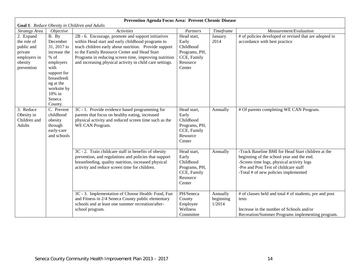| Goal 1: Reduce Obesity in Children and Adults |                            |                                                          |               |           |                                                         |  |  |
|-----------------------------------------------|----------------------------|----------------------------------------------------------|---------------|-----------|---------------------------------------------------------|--|--|
| Strategy Area                                 | Objective                  | <b>Activities</b>                                        | Partners      | Timeframe | Measurement/Evaluation                                  |  |  |
| 2. Expand                                     | B. By                      | 2B - 6. Encourage, promote and support initiatives       | Head start,   | January   | # of policies developed or revised that are adopted in  |  |  |
| the role of                                   | December                   | within Head start and early childhood programs to        | Early         | 2014      | accordance with best practice                           |  |  |
| public and                                    | 31, 2017 to                | teach children early about nutrition. Provide support    | Childhood     |           |                                                         |  |  |
| private                                       | increase the               | to the Family Resource Center and Head Start             | Programs, PH, |           |                                                         |  |  |
| employers in                                  | $%$ of                     | Programs in reducing screen time, improving nutrition    | CCE, Family   |           |                                                         |  |  |
| obesity                                       | employers                  | and increasing physical activity in child care settings. | Resource      |           |                                                         |  |  |
| prevention                                    | with                       |                                                          | Center        |           |                                                         |  |  |
|                                               | support for<br>breastfeedi |                                                          |               |           |                                                         |  |  |
|                                               |                            |                                                          |               |           |                                                         |  |  |
|                                               | ng at the<br>worksite by   |                                                          |               |           |                                                         |  |  |
|                                               | 10% in                     |                                                          |               |           |                                                         |  |  |
|                                               | Seneca                     |                                                          |               |           |                                                         |  |  |
|                                               | County.                    |                                                          |               |           |                                                         |  |  |
| 3. Reduce                                     | C. Prevent                 | 3C - 1. Provide evidence based programming for           | Head start,   | Annually  | # Of parents completing WE CAN Program.                 |  |  |
| Obesity in                                    | childhood                  | parents that focus on healthy eating, increased          | Early         |           |                                                         |  |  |
| Children and                                  | obesity                    | physical activity and reduced screen time such as the    | Childhood     |           |                                                         |  |  |
| Adults                                        | through                    | WE CAN Program.                                          | Programs, PH, |           |                                                         |  |  |
|                                               | early-care                 |                                                          | CCE, Family   |           |                                                         |  |  |
|                                               | and schools                |                                                          | Resource      |           |                                                         |  |  |
|                                               |                            |                                                          | Center        |           |                                                         |  |  |
|                                               |                            | 3C - 2. Train childcare staff in benefits of obesity     | Head start,   | Annually  | -Track Baseline BMI for Head Start children at the      |  |  |
|                                               |                            | prevention, and regulations and policies that support    | Early         |           | beginning of the school year and the end.               |  |  |
|                                               |                            | breastfeeding, quality nutrition, increased physical     | Childhood     |           | -Screen time logs, physical activity logs               |  |  |
|                                               |                            | activity and reduce screen time for children.            | Programs, PH, |           | -Pre and Post Test of childcare staff                   |  |  |
|                                               |                            |                                                          | CCE, Family   |           | -Total # of new policies implemented                    |  |  |
|                                               |                            |                                                          | Resource      |           |                                                         |  |  |
|                                               |                            |                                                          | Center        |           |                                                         |  |  |
|                                               |                            |                                                          |               |           |                                                         |  |  |
|                                               |                            | 3C - 3. Implementation of Choose Health: Food, Fun       | PH/Seneca     | Annually  | # of classes held and total # of students, pre and post |  |  |
|                                               |                            | and Fitness in 2/4 Seneca County public elementary       | County        | beginning | tests                                                   |  |  |
|                                               |                            | schools and at least one summer recreation/after-        | Employee      | 1/2014    |                                                         |  |  |
|                                               |                            | school program.                                          | Wellness      |           | Increase in the number of Schools and/or                |  |  |
|                                               |                            |                                                          | Committee     |           | Recreation/Summer Programs implementing program.        |  |  |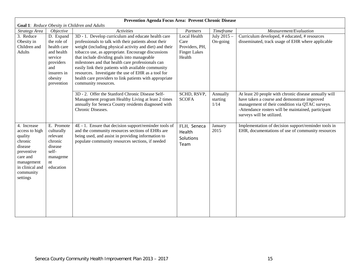| Goal 1: Reduce Obesity in Children and Adults |                            |                                                                                                                  |                        |                  |                                                                                                           |  |  |
|-----------------------------------------------|----------------------------|------------------------------------------------------------------------------------------------------------------|------------------------|------------------|-----------------------------------------------------------------------------------------------------------|--|--|
| Strategy Area                                 | <i>Objective</i>           | <b>Activities</b>                                                                                                | Partners               | Timeframe        | Measurement/Evaluation                                                                                    |  |  |
| 3. Reduce                                     | D. Expand                  | 3D - 1. Develop curriculum and educate health care                                                               | Local Health           | July 2015 -      | Curriculum developed, # educated, # resources                                                             |  |  |
| Obesity in<br>Children and                    | the role of<br>health care | professionals to talk with their patients about their<br>weight (including physical activity and diet) and their | Care<br>Providers, PH, | On-going         | disseminated, track usage of EHR where applicable                                                         |  |  |
| <b>Adults</b>                                 | and health                 | tobacco use, as appropriate. Encourage discussions                                                               | <b>Finger Lakes</b>    |                  |                                                                                                           |  |  |
|                                               | service                    | that include dividing goals into manageable                                                                      | Health                 |                  |                                                                                                           |  |  |
|                                               | providers                  | milestones and that health care professionals can                                                                |                        |                  |                                                                                                           |  |  |
|                                               | and                        | easily link their patients with available community                                                              |                        |                  |                                                                                                           |  |  |
|                                               | insurers in<br>obesity     | resources. Investigate the use of EHR as a tool for<br>health care providers to link patients with appropriate   |                        |                  |                                                                                                           |  |  |
|                                               | prevention                 | community resources.                                                                                             |                        |                  |                                                                                                           |  |  |
|                                               |                            |                                                                                                                  |                        |                  |                                                                                                           |  |  |
|                                               |                            | 3D - 2. Offer the Stanford Chronic Disease Self-                                                                 | SCHD, RSVP,            | Annually         | At least 20 people with chronic disease annually will                                                     |  |  |
|                                               |                            | Management program Healthy Living at least 2 times<br>annually for Seneca County residents diagnosed with        | <b>SCOFA</b>           | starting<br>1/14 | have taken a course and demonstrate improved<br>management of their condition via QTAC surveys.           |  |  |
|                                               |                            | Chronic Diseases.                                                                                                |                        |                  | -Attendance rosters will be maintained, participant                                                       |  |  |
|                                               |                            |                                                                                                                  |                        |                  | surveys will be utilized.                                                                                 |  |  |
|                                               |                            |                                                                                                                  |                        |                  |                                                                                                           |  |  |
| 4. Increase<br>access to high                 | E. Promote<br>culturally   | 4E - 1. Ensure that decision support/reminder tools of<br>and the community resources sections of EHRs are       | FLH, Seneca            | January<br>2015  | Implementation of decision support/reminder tools in<br>EHR, documentations of use of community resources |  |  |
| quality                                       | relevant                   | being used, and assist in providing information to                                                               | Health<br>Solutions    |                  |                                                                                                           |  |  |
| chronic                                       | chronic                    | populate community resources sections, if needed                                                                 | Team                   |                  |                                                                                                           |  |  |
| disease                                       | disease                    |                                                                                                                  |                        |                  |                                                                                                           |  |  |
| preventive<br>care and                        | self-                      |                                                                                                                  |                        |                  |                                                                                                           |  |  |
| management                                    | manageme<br>nt             |                                                                                                                  |                        |                  |                                                                                                           |  |  |
| in clinical and                               | education                  |                                                                                                                  |                        |                  |                                                                                                           |  |  |
| community                                     |                            |                                                                                                                  |                        |                  |                                                                                                           |  |  |
| settings                                      |                            |                                                                                                                  |                        |                  |                                                                                                           |  |  |
|                                               |                            |                                                                                                                  |                        |                  |                                                                                                           |  |  |
|                                               |                            |                                                                                                                  |                        |                  |                                                                                                           |  |  |
|                                               |                            |                                                                                                                  |                        |                  |                                                                                                           |  |  |
|                                               |                            |                                                                                                                  |                        |                  |                                                                                                           |  |  |
|                                               |                            |                                                                                                                  |                        |                  |                                                                                                           |  |  |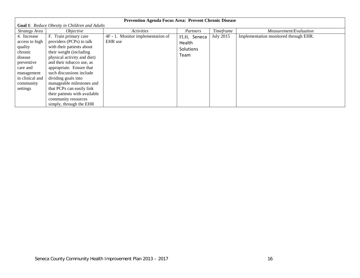| Prevention Agenda Focus Area: Prevent Chronic Disease                                                                                              |                                                                                                                                                                                                                                                                                                                                                                        |                                              |                                            |           |                                       |  |  |
|----------------------------------------------------------------------------------------------------------------------------------------------------|------------------------------------------------------------------------------------------------------------------------------------------------------------------------------------------------------------------------------------------------------------------------------------------------------------------------------------------------------------------------|----------------------------------------------|--------------------------------------------|-----------|---------------------------------------|--|--|
|                                                                                                                                                    | Goal 1: Reduce Obesity in Children and Adults                                                                                                                                                                                                                                                                                                                          |                                              |                                            |           |                                       |  |  |
| Strategy Area                                                                                                                                      | <i>Objective</i>                                                                                                                                                                                                                                                                                                                                                       | Activities                                   | Partners                                   | Timeframe | Measurement/Evaluation                |  |  |
| 4. Increase<br>access to high<br>quality<br>chronic<br>disease<br>preventive<br>care and<br>management<br>in clinical and<br>community<br>settings | F. Train primary care<br>providers (PCPs) to talk<br>with their patients about<br>their weight (including<br>physical activity and diet)<br>and their tobacco use, as<br>appropriate. Ensure that<br>such discussions include<br>dividing goals into<br>manageable milestones and<br>that PCPs can easily link<br>their patients with available<br>community resources | 4F - 1. Monitor implementation of<br>EHR use | FLH, Seneca<br>Health<br>Solutions<br>Team | July 2015 | Implementation monitored through EHR. |  |  |
|                                                                                                                                                    | simply, through the EHR                                                                                                                                                                                                                                                                                                                                                |                                              |                                            |           |                                       |  |  |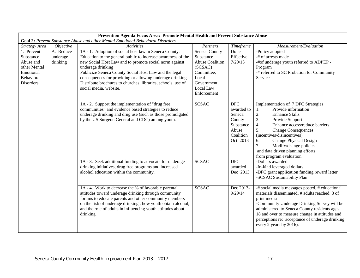|                                                                                              | Prevention Agenda Focus Area: Promote Mental Health and Prevent Substance Abuse |                                                                                                                                                                                                                                                                                                                                                                                                                      |                                                                                                                                   |                                                                                             |                                                                                                                                                                                                                                                                                                                                                                                       |  |  |
|----------------------------------------------------------------------------------------------|---------------------------------------------------------------------------------|----------------------------------------------------------------------------------------------------------------------------------------------------------------------------------------------------------------------------------------------------------------------------------------------------------------------------------------------------------------------------------------------------------------------|-----------------------------------------------------------------------------------------------------------------------------------|---------------------------------------------------------------------------------------------|---------------------------------------------------------------------------------------------------------------------------------------------------------------------------------------------------------------------------------------------------------------------------------------------------------------------------------------------------------------------------------------|--|--|
|                                                                                              |                                                                                 | Goal 2: Prevent Substance Abuse and other Mental Emotional Behavioral Disorders                                                                                                                                                                                                                                                                                                                                      |                                                                                                                                   |                                                                                             |                                                                                                                                                                                                                                                                                                                                                                                       |  |  |
| Strategy Area                                                                                | <i>Objective</i>                                                                | <i><u><b>Activities</b></u></i>                                                                                                                                                                                                                                                                                                                                                                                      | Partners                                                                                                                          | Timeframe                                                                                   | Measurement/Evaluation                                                                                                                                                                                                                                                                                                                                                                |  |  |
| 1. Prevent<br>Substance<br>Abuse and<br>other Mental<br>Emotional<br>Behavioral<br>Disorders | A. Reduce<br>underage<br>drinking                                               | 1A - 1. Adoption of social host law in Seneca County.<br>Education to the general public to increase awareness of the<br>new Social Host Law and to promote social norm against<br>underage drinking<br>Publicize Seneca County Social Host Law and the legal<br>consequences for providing or allowing underage drinking.<br>Distribute brochures to churches, libraries, schools, use of<br>social media, website. | Seneca County<br>Substance<br><b>Abuse Coalition</b><br>(SCSAC)<br>Committee,<br>Local<br>Government,<br>Local Law<br>Enforcement | Done<br>Effective<br>7/29/13                                                                | -Policy adopted<br>-# of arrests made<br>-#of underage youth referred to ADPEP -<br>Program<br>-# referred to SC Probation for Community<br>Service                                                                                                                                                                                                                                   |  |  |
|                                                                                              |                                                                                 | 1A - 2. Support the implementation of "drug free<br>communities" and evidence based strategies to reduce<br>underage drinking and drug use (such as those promulgated<br>by the US Surgeon General and CDC) among youth.                                                                                                                                                                                             | <b>SCSAC</b>                                                                                                                      | <b>DFC</b><br>awarded to<br>Seneca<br>County<br>Substance<br>Abuse<br>Coalition<br>Oct 2013 | Implementation of 7 DFC Strategies<br>Provide information<br>1.<br>2.<br><b>Enhance Skills</b><br>3.<br>Provide Support<br>Enhance access/reduce barriers<br>$\overline{4}$ .<br>5.<br><b>Change Consequences</b><br>(incentives/disincentives)<br><b>Change Physical Design</b><br>6.<br>7.<br>Modify/change policies<br>and data driven planning efforts<br>from program evaluation |  |  |
|                                                                                              |                                                                                 | 1A - 3. Seek additional funding to advocate for underage<br>drinking initiatives, drug free programs and increased<br>alcohol education within the community.                                                                                                                                                                                                                                                        | <b>SCSAC</b>                                                                                                                      | <b>DFC</b><br>awarded<br>Dec 2013                                                           | -Dollars awarded<br>-In-kind leveraged dollars<br>-DFC grant application funding reward letter<br>-SCSAC Sustainability Plan                                                                                                                                                                                                                                                          |  |  |
|                                                                                              |                                                                                 | 1A - 4. Work to decrease the % of favorable parental<br>attitudes toward underage drinking through community<br>forums to educate parents and other community members<br>on the risk of underage drinking, how youth obtain alcohol,<br>and the role of adults in influencing youth attitudes about<br>drinking.                                                                                                     | <b>SCSAC</b>                                                                                                                      | Dec 2013-<br>9/29/14                                                                        | -# social media messages posted, # educational<br>materials disseminated, # adults reached, 3 of<br>print media<br>-Community Underage Drinking Survey will be<br>administered to Seneca County residents ages<br>18 and over to measure change in attitudes and<br>perceptions re: acceptance of underage drinking<br>every 2 years by 2016).                                        |  |  |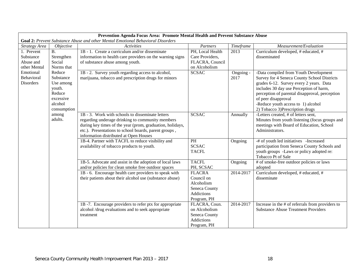|                   | Prevention Agenda Focus Area: Promote Mental Health and Prevent Substance Abuse |                                                                                 |                              |           |                                                                |  |  |
|-------------------|---------------------------------------------------------------------------------|---------------------------------------------------------------------------------|------------------------------|-----------|----------------------------------------------------------------|--|--|
|                   |                                                                                 | Goal 2: Prevent Substance Abuse and other Mental Emotional Behavioral Disorders |                              |           |                                                                |  |  |
| Strategy Area     | <i>Objective</i>                                                                | <b>Activities</b>                                                               | Partners                     | Timeframe | Measurement/Evaluation                                         |  |  |
| 1. Prevent        | $\overline{B}$ .                                                                | 1B - 1. Create a curriculum and/or disseminate                                  | PH, Local Health             | 2013      | Curriculum developed, # educated, #                            |  |  |
| Substance         | Strengthen                                                                      | information to health care providers on the warning signs                       | Care Providers,              |           | disseminated                                                   |  |  |
| Abuse and         | Social                                                                          | of substance abuse among youth.                                                 | FLACRA, Council              |           |                                                                |  |  |
| other Mental      | Norms that                                                                      |                                                                                 | on Alcoholism                |           |                                                                |  |  |
| Emotional         | Reduce                                                                          | 1B - 2. Survey youth regarding access to alcohol,                               | <b>SCSAC</b>                 | Ongoing - | -Data compiled from Youth Development                          |  |  |
| <b>Behavioral</b> | Substance                                                                       | marijuana, tobacco and prescription drugs for minors                            |                              | 2017      | Survey for 4 Seneca County School Districts                    |  |  |
| Disorders         | Use among                                                                       |                                                                                 |                              |           | grades 6-12. Survey every 2 years. Data                        |  |  |
|                   | youth.                                                                          |                                                                                 |                              |           | includes 30 day use Perception of harm,                        |  |  |
|                   | Reduce                                                                          |                                                                                 |                              |           | perception of parental disapproval, perception                 |  |  |
|                   | excessive                                                                       |                                                                                 |                              |           | of peer disapproval                                            |  |  |
|                   | alcohol                                                                         |                                                                                 |                              |           | -Reduce youth access to 1) alcohol                             |  |  |
|                   | consumption                                                                     |                                                                                 |                              |           | 2) Tobacco 3) Prescription drugs                               |  |  |
|                   | among                                                                           | 1B - 3. Work with schools to disseminate letters                                | <b>SCSAC</b>                 | Annually  | -Letters created, # of letters sent,                           |  |  |
|                   | adults.                                                                         | regarding underage drinking to community members                                |                              |           | Minutes from youth listening (focus groups and                 |  |  |
|                   |                                                                                 | during key times of the year (prom, graduation, holidays,                       |                              |           | meetings with Board of Education, School                       |  |  |
|                   |                                                                                 | etc.). Presentations to school boards, parent groups,                           |                              |           | Administrators.                                                |  |  |
|                   |                                                                                 | information distributed at Open Houses                                          |                              |           |                                                                |  |  |
|                   |                                                                                 | 1B-4. Partner with TACFL to reduce visibility and                               | PH                           | Ongoing   | -# of youth led initiatives -Increased                         |  |  |
|                   |                                                                                 | availability of tobacco products to youth.                                      | <b>SCSAC</b>                 |           | participation from Seneca County Schools and                   |  |  |
|                   |                                                                                 |                                                                                 | <b>TACFL</b>                 |           | youth groups -Laws or policy adopted re:<br>Tobacco Pt of Sale |  |  |
|                   |                                                                                 | 1B-5. Advocate and assist in the adoption of local laws                         | <b>TACFL</b>                 |           | # of smoke-free outdoor policies or laws                       |  |  |
|                   |                                                                                 |                                                                                 | PH, SCSAC                    | Ongoing   |                                                                |  |  |
|                   |                                                                                 | and/or policies for clean smoke free outdoor spaces                             | <b>FLACRA</b>                | 2014-2017 | adopted<br>Curriculum developed, # educated, #                 |  |  |
|                   |                                                                                 | 1B - 6. Encourage health care providers to speak with                           | Council on                   |           |                                                                |  |  |
|                   |                                                                                 | their patients about their alcohol use (substance abuse)                        | Alcoholism                   |           | disseminate                                                    |  |  |
|                   |                                                                                 |                                                                                 | Seneca County                |           |                                                                |  |  |
|                   |                                                                                 |                                                                                 | <b>Addictions</b>            |           |                                                                |  |  |
|                   |                                                                                 |                                                                                 |                              |           |                                                                |  |  |
|                   |                                                                                 | 1B-7. Encourage providers to refer ptx for appropriate                          | Program, PH<br>FLACRA, Coun. | 2014-2017 | Increase in the # of referrals from providers to               |  |  |
|                   |                                                                                 | alcohol /drug evaluations and to seek appropriate                               | on Alcoholism                |           | <b>Substance Abuse Treatment Providers</b>                     |  |  |
|                   |                                                                                 |                                                                                 | Seneca County                |           |                                                                |  |  |
|                   |                                                                                 | treatment                                                                       | Addictions                   |           |                                                                |  |  |
|                   |                                                                                 |                                                                                 |                              |           |                                                                |  |  |
|                   |                                                                                 |                                                                                 | Program, PH                  |           |                                                                |  |  |